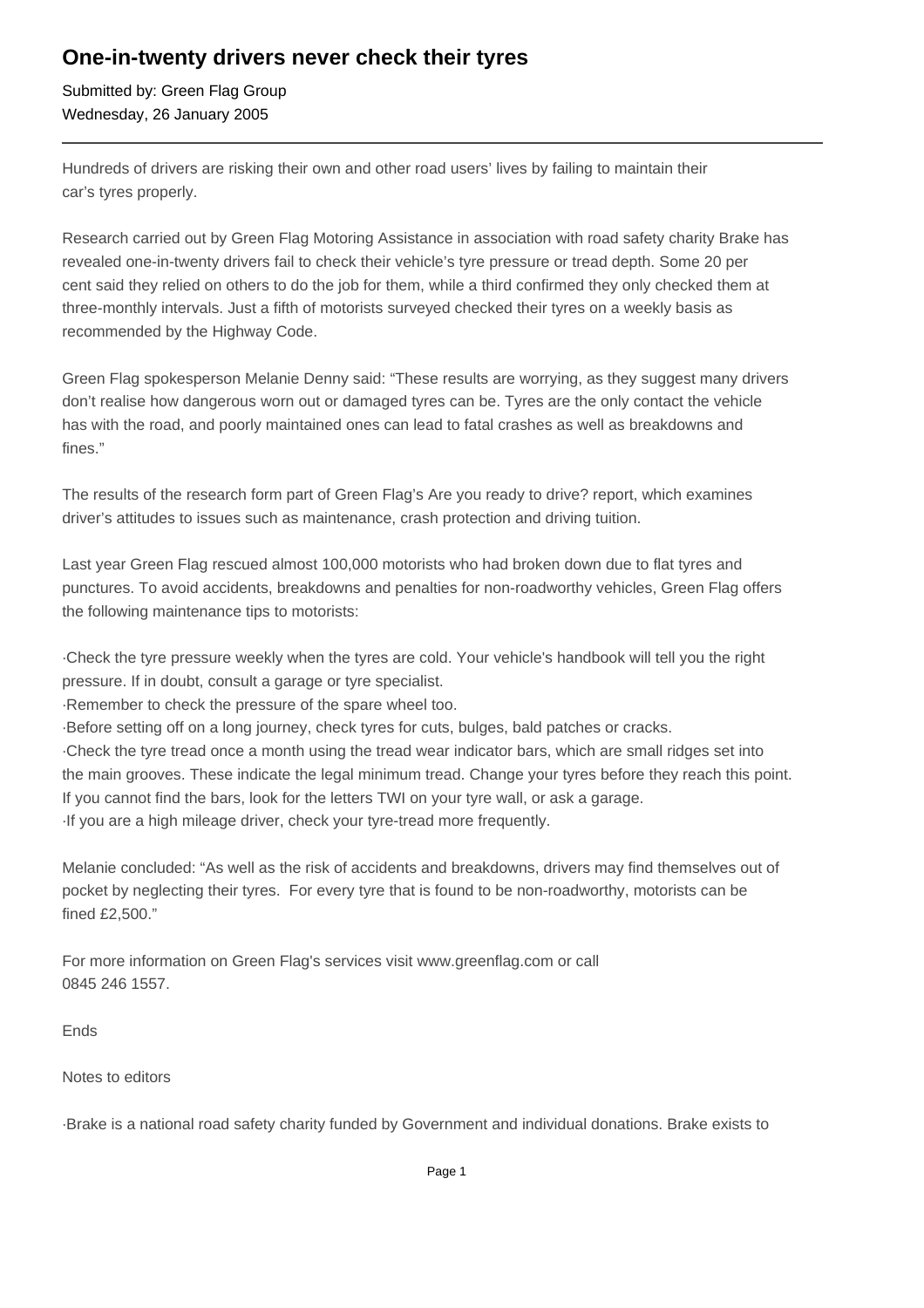## **One-in-twenty drivers never check their tyres**

Submitted by: Green Flag Group Wednesday, 26 January 2005

Hundreds of drivers are risking their own and other road users' lives by failing to maintain their car's tyres properly.

Research carried out by Green Flag Motoring Assistance in association with road safety charity Brake has revealed one-in-twenty drivers fail to check their vehicle's tyre pressure or tread depth. Some 20 per cent said they relied on others to do the job for them, while a third confirmed they only checked them at three-monthly intervals. Just a fifth of motorists surveyed checked their tyres on a weekly basis as recommended by the Highway Code.

Green Flag spokesperson Melanie Denny said: "These results are worrying, as they suggest many drivers don't realise how dangerous worn out or damaged tyres can be. Tyres are the only contact the vehicle has with the road, and poorly maintained ones can lead to fatal crashes as well as breakdowns and fines."

The results of the research form part of Green Flag's Are you ready to drive? report, which examines driver's attitudes to issues such as maintenance, crash protection and driving tuition.

Last year Green Flag rescued almost 100,000 motorists who had broken down due to flat tyres and punctures. To avoid accidents, breakdowns and penalties for non-roadworthy vehicles, Green Flag offers the following maintenance tips to motorists:

·Check the tyre pressure weekly when the tyres are cold. Your vehicle's handbook will tell you the right pressure. If in doubt, consult a garage or tyre specialist.

·Remember to check the pressure of the spare wheel too.

·Before setting off on a long journey, check tyres for cuts, bulges, bald patches or cracks.

·Check the tyre tread once a month using the tread wear indicator bars, which are small ridges set into the main grooves. These indicate the legal minimum tread. Change your tyres before they reach this point. If you cannot find the bars, look for the letters TWI on your tyre wall, or ask a garage. ·If you are a high mileage driver, check your tyre-tread more frequently.

Melanie concluded: "As well as the risk of accidents and breakdowns, drivers may find themselves out of pocket by neglecting their tyres. For every tyre that is found to be non-roadworthy, motorists can be fined £2,500."

For more information on Green Flag's services visit www.greenflag.com or call 0845 246 1557.

Ends

Notes to editors

·Brake is a national road safety charity funded by Government and individual donations. Brake exists to